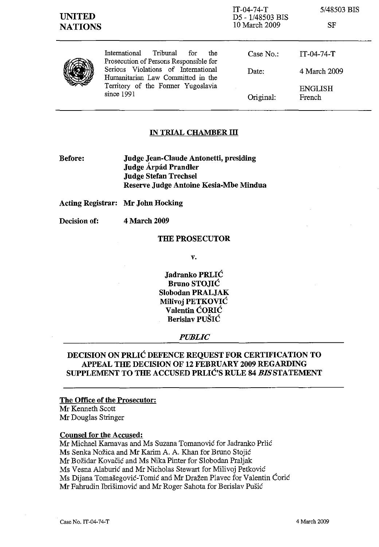## **IN TRIAL CHAMBER III**

**Before: Judge Jean-Claude Antonetti, presiding Judge Arpad Prandler Judge Stefan Trechsel Reserve Judge Antoine Kesia-Mbe Mindua**

**Acting Registrar: Mr John Hocking**

**Decision of:** 4 March 2009

## **THE PROSECUTOR**

**v.**

**Jadranko PRLIC Bruno STO**.IIC **Siobodan PRALJAK Milivoj PETKOVIC Valentin CORIC Berislav PUSIC**

## *PUBLIC*

# **DECISION ON PRLIC DEFENCE REQUEST FOR CERTIFICATION TO APPEAL THE DECISION OF 12 FEBRUARY 2009 REGARDING SUPPLEMENT TO THE ACCUSED PRLIC'S RULE 84** *BISSTATEMENT*

**The Office of the Prosecutor:** Mr Kenneth Scott Mr Douglas Stringer

### **Counsel for the Accused:**

Mr Michael Karnavas and Ms Suzana Tomanovic for Jadranko Prlic Ms Senka Nozica and Mr Karim A. A. Khan for Bruno Stojic Mr Bozidar Kovacic and Ms Nika Pinter for Slobodan Praljak Ms Vesna Alaburic and Mr Nicholas Stewart for Milivoj Petkovic Ms Dijana Tomašegović-Tomić and Mr Dražen Plavec for Valentin Ćorić Mr Fahrudin Ibrisimovic and Mr Roger Sahota for Berislav Pusic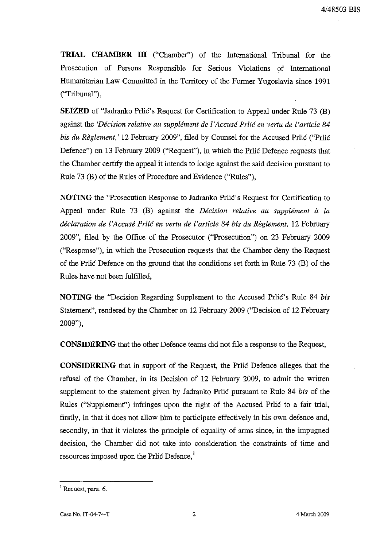**TRIAL CHAMBER ill** ("Chamber") of the International Tribunal for the Prosecution of Persons Responsible for Serious Violations of International Humanitarian Law Committed in the Territory of the Former Yugoslavia since 1991 ("Tribunal"),

**SEIZED** of "Jadranko Prlic's Request for Certification to Appeal under Rule 73 (B) against the *'Decision relative au supplement de l'Accuse Prlic en vertu de l'article 84 bis du Reglement,'* 12 February 2009", filed by Counsel for the Accused Prlic ("Prlic Defence") on 13 February 2009 ("Request"), in which the Prlic Defence requests that the Chamber certify the appeal it intends to lodge against the said decision pursuant to Rule 73 (B) of the Rules of Procedure and Evidence ("Rules"),

**NOTING** the "Prosecution Response to Jadranko Prlic's Request for Certification to Appeal under Rule 73 (B) against the *Décision relative au supplément à la declaration de l'Accuse Prlic en vertu de l'article* 84 *bis du Reglement,* 12 February 2009", filed by the Office of the Prosecutor ("Prosecution") on 23 February 2009 ("Response"), in which the Prosecution requests that the Chamber deny the Request of the Prlic Defence on the ground that the conditions set forth in Rule 73 (B) of the Rules have not been fulfilled,

**NOTING** the "Decision Regarding Supplement to the Accused Prlic's Rule 84 *bis* Statement", rendered by the Chamber on 12 February 2009 ("Decision of 12 February 2009"),

**CONSIDERING** that the other Defence teams did not file a response to the Request,

**CONSIDERING** that in support of the Request, the Prlic Defence alleges that the refusal of the Chamber, in its Decision of 12 February 2009, to admit the written supplement to the statement given by Jadranko Prlic pursuant to Rule 84 *bis* of the Rules ("Supplement") infringes upon the right of the Accused Prlic to a fair trial, firstly, in that it does not allow him to participate effectively in his own defence and, secondly, in that it violates the principle of equality of arms since, in the impugned decision, the Chamber did not take into consideration the constraints of time and resources imposed upon the Prlic Defence,<sup>1</sup>

<sup>&</sup>lt;sup>1</sup> Request, para. 6.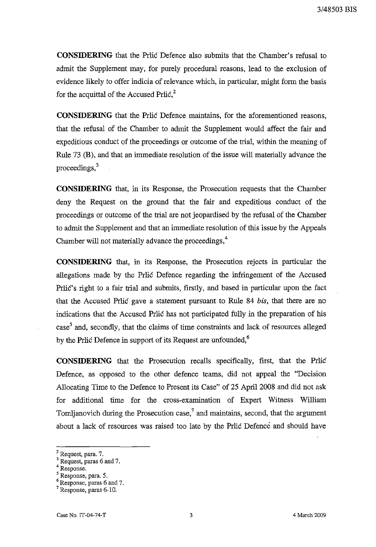**CONSIDERING** that the Prlic Defence also submits that the Chamber's refusal to admit the Supplement may, for purely procedural reasons, lead to the exclusion of evidence likely to offer indicia of relevance which, in particular, might form the basis for the acquittal of the Accused Prlic, $^{2}$ 

**CONSIDERING** that the Prlic Defence maintains, for the aforementioned reasons, that the refusal of the Chamber to admit the Supplement would affect the fair and expeditious conduct of the proceedings or outcome of the trial, within the meaning of Rule 73 (B), and that an immediate resolution of the issue will materially advance the  $proceedings, <sup>3</sup>$ 

**CONSIDERING** that, in its Response, the Prosecution requests that the Chamber deny the Request on the ground that the fair and expeditious conduct of the proceedings or outcome of the trial are not jeopardised by the refusal of the Chamber to admit the Supplement and that an immediate resolution of this issue by the Appeals Chamber will not materially advance the proceedings,<sup>4</sup>

**CONSIDERING** that, in its Response, the Prosecution rejects in particular the allegations made by the Prlic Defence regarding the infringement of the Accused Prlic's right to a fair trial and submits, firstly, and based in particular upon the fact that the Accused Prlic gave a statement pursuant to Rule 84 *bis,* that there are no indications that the Accused Prlic has not participated fully in the preparation of his  $case<sup>5</sup>$  and, secondly, that the claims of time constraints and lack of resources alleged by the Prlic Defence in support of its Request are unfounded,<sup>6</sup>

**CONSIDERING** that the Prosecution recalls specifically, first, that the Prlic Defence, as opposed to the other defence teams, did not appeal the "Decision Allocating Time to the Defence to Present its Case" of 25 April 2008 and did not ask for additional time for the cross-examination of Expert Witness William Tomlianovich during the Prosecution case, $^7$  and maintains, second, that the argument about a lack of resources was raised too late by the Prlic Defence and should have

 $<sup>2</sup>$  Request, para. 7.</sup>

 $3$  Request, paras 6 and 7.

Response.

<sup>5</sup> Response, para. 5,

<sup>&</sup>lt;sup>6</sup> Response, paras 6 and 7.

<sup>7</sup> Response, paras 6-10.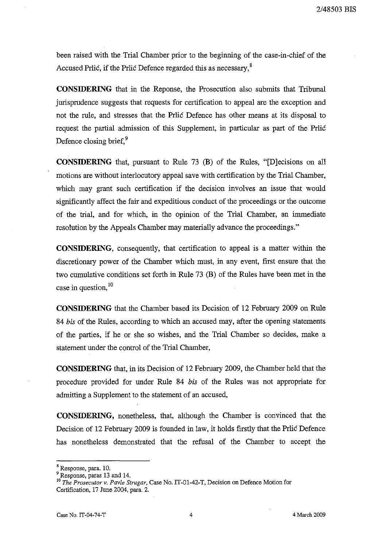been raised with the Trial Chamber prior to the beginning of the case-in-chief of the Accused Prlic, if the Prlic Defence regarded this as necessary,<sup>8</sup>

**CONSIDERING** that in the Reponse, the Prosecution also submits that Tribunal jurisprudence suggests that requests for certification to appeal are the exception and not the rule, and stresses that the Prlic Defence has other means at its disposal to request the partial admission of this Supplement, in particular as part of the Prlic Defence closing brief.<sup>9</sup>

**CONSIDERING** that, pursuant to Rule 73 (B) of the Rules, "[Djecisions on all motions are without interlocutory appeal save with certification by the Trial Chamber, which may grant such certification if the decision involves an issue that would significantly affect the fair and expeditious conduct of the proceedings or the outcome of the trial, and for which, in the opinion of the Trial Chamber, an immediate resolution by the Appeals Chamber may materially advance the proceedings."

**CONSIDERING,** consequently, that certification to appeal is a matter within the discretionary power of the Chamber which must, in any event, first ensure that the two cumulative conditions set forth in Rule  $(73 \text{ (B)})$  of the Rules have been met in the case in question, 10

**CONSIDERING** that the Chamber based its Decision of 12 February 2009 on Rule *84 bis* of the Rules, according to which an accused may, after the opening statements of the parties, if he or she so wishes, and the Trial Chamber so decides, make a statement under the control of the Trial Chamber,

**CONSIDERING** that, in its Decision of 12 February 2009, the Chamber held that the procedure provided for under Rule 84 *bis* of the Rules was not appropriate for admitting a Supplement to the statement of an accused,

**CONSIDERING,** nonetheless, that, although the Chamber is convinced that the Decision of 12 February 2009 is founded in law, it holds firstly that the Prlic Defence has nonetheless demonstrated that the refusal of the Chamber to accept the

<sup>8</sup> Response, para. 10.

<sup>&</sup>lt;sup>9</sup> Response, paras 13 and 14.

<sup>10</sup> *The Prosecutor* v. *Pavle Strugar,* Case No. IT-01-42-T, Decision on Defence Motion for Certification, 17 June 2004, para. 2.